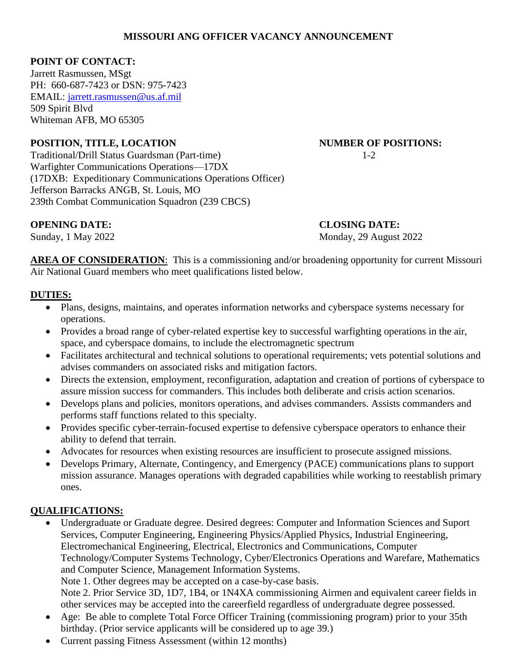### **MISSOURI ANG OFFICER VACANCY ANNOUNCEMENT**

### **POINT OF CONTACT:**

Jarrett Rasmussen, MSgt PH: 660-687-7423 or DSN: 975-7423 EMAIL:<jarrett.rasmussen@us.af.mil> 509 Spirit Blvd Whiteman AFB, MO 65305

# **POSITION, TITLE, LOCATION NUMBER OF POSITIONS:**

Traditional/Drill Status Guardsman (Part-time) 1-2 Warfighter Communications Operations—17DX (17DXB: Expeditionary Communications Operations Officer) Jefferson Barracks ANGB, St. Louis, MO 239th Combat Communication Squadron (239 CBCS)

#### **OPENING DATE: CLOSING DATE:**

Sunday, 1 May 2022 Monday, 29 August 2022

**AREA OF CONSIDERATION:** This is a commissioning and/or broadening opportunity for current Missouri Air National Guard members who meet qualifications listed below.

# **DUTIES:**

- Plans, designs, maintains, and operates information networks and cyberspace systems necessary for operations.
- Provides a broad range of cyber-related expertise key to successful warfighting operations in the air, space, and cyberspace domains, to include the electromagnetic spectrum
- Facilitates architectural and technical solutions to operational requirements; vets potential solutions and advises commanders on associated risks and mitigation factors.
- Directs the extension, employment, reconfiguration, adaptation and creation of portions of cyberspace to assure mission success for commanders. This includes both deliberate and crisis action scenarios.
- Develops plans and policies, monitors operations, and advises commanders. Assists commanders and performs staff functions related to this specialty.
- Provides specific cyber-terrain-focused expertise to defensive cyberspace operators to enhance their ability to defend that terrain.
- Advocates for resources when existing resources are insufficient to prosecute assigned missions.
- Develops Primary, Alternate, Contingency, and Emergency (PACE) communications plans to support mission assurance. Manages operations with degraded capabilities while working to reestablish primary ones.

# **QUALIFICATIONS:**

- Undergraduate or Graduate degree. Desired degrees: Computer and Information Sciences and Suport Services, Computer Engineering, Engineering Physics/Applied Physics, Industrial Engineering, Electromechanical Engineering, Electrical, Electronics and Communications, Computer Technology/Computer Systems Technology, Cyber/Electronics Operations and Warefare, Mathematics and Computer Science, Management Information Systems. Note 1. Other degrees may be accepted on a case-by-case basis. Note 2. Prior Service 3D, 1D7, 1B4, or 1N4XA commissioning Airmen and equivalent career fields in other services may be accepted into the careerfield regardless of undergraduate degree possessed.
- Age: Be able to complete Total Force Officer Training (commissioning program) prior to your 35th birthday. (Prior service applicants will be considered up to age 39.)
- Current passing Fitness Assessment (within 12 months)